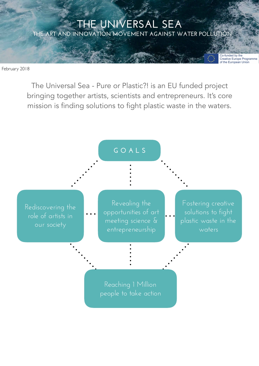# THE UNIVERSAL SEA THE ART AND INNOVATION MOVEMENT AGAINST WATER POLLUTION

February 2018

The Universal Sea - Pure or Plastic?! is an EU funded project bringing together artists, scientists and entrepreneurs. It's core mission is finding solutions to fight plastic waste in the waters.

### **G O A L S**

Rediscovering the role of artists in our society

Revealing the opportunities of art meeting science & entrepreneurship

Fostering creative solutions to fight plastic waste in the waters

Co-funded by the<br>Creative Europe Programme<br>of the European Union

Reaching 1 Million people to take action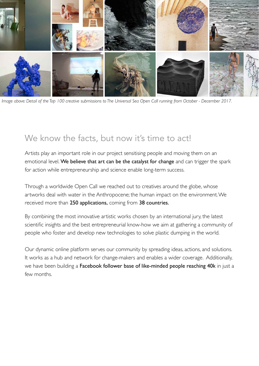

*Image above: Detail of the Top 100 creative submissions to The Universal Sea Open Call running from October - December 2017.*

# We know the facts, but now it's time to act!

Artists play an important role in our project sensitising people and moving them on an emotional level. We believe that art can be the catalyst for change and can trigger the spark for action while entrepreneurship and science enable long-term success.

Through a worldwide Open Call we reached out to creatives around the globe, whose artworks deal with water in the Anthropocene; the human impact on the environment. We received more than 250 applications, coming from 38 countries.

By combining the most innovative artistic works chosen by an international jury, the latest scientific insights and the best entrepreneurial know-how we aim at gathering a community of people who foster and develop new technologies to solve plastic dumping in the world.

Our dynamic online platform serves our community by spreading ideas, actions, and solutions. It works as a hub and network for change-makers and enables a wider coverage. Additionally, we have been building a Facebook follower base of like-minded people reaching 40k in just a few months.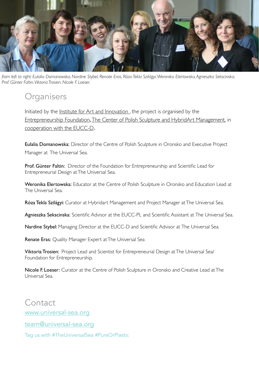

*from left to right: Eulalia Domanowska, Nardine Stybel, Renate Eras, Róza Tekla Szilágyi, Weronika Elertowska, Agnieszka Sekscinska, Prof. Günter Faltin, Viktoria Trosien, Nicole F. Loeser.*

## **Organisers**

Initiated by the *Institute for Art and Innovation*, the project is organised by the [Entrepreneurship Foundation](http://entrepreneurship.de),[The Center of Polish Sculpture and HybridArt Management,](http://www.rzezba-oronsko.pl/EN/) in [cooperation with the EUCC-D](http://www.eucc-d.de/).

Eulalia Domanowska: Director of the Centre of Polish Sculpture in Oronsko and Executive Project Manager at The Universal Sea.

Prof. Günter Faltin: Director of the Foundation for Entrepreneurship and Scientific Lead for Entrepreneurial Design at The Universal Sea.

Weronika Elertowska: Educator at the Centre of Polish Sculpture in Oronsko and Education Lead at The Universal Sea.

Róza Tekla Szilágyi: Curator at Hybridart Management and Project Manager at The Universal Sea.

Agnieszka Sekscinska: Scientific Advisor at the EUCC-PL and Scientific Assistant at The Universal Sea.

Nardine Stybel: Managing Director at the EUCC-D and Scientific Advisor at The Universal Sea.

Renate Eras: Quality Manager Expert at The Universal Sea

Viktoria Trosien: Project Lead and Scientist for Entrepreneurial Design at The Universal Sea/ Foundation for Entrepreneurship.

Nicole F. Loeser: Curator at the Centre of Polish Sculpture in Oronsko and Creative Lead at The Universal Sea.

**Contact** [www.universal-sea.org](http://www.universal-sea.org)

[team@universal-sea.org](mailto:team@universal-sea.org)

Tag us with #TheUniversalSea #PureOrPlastic